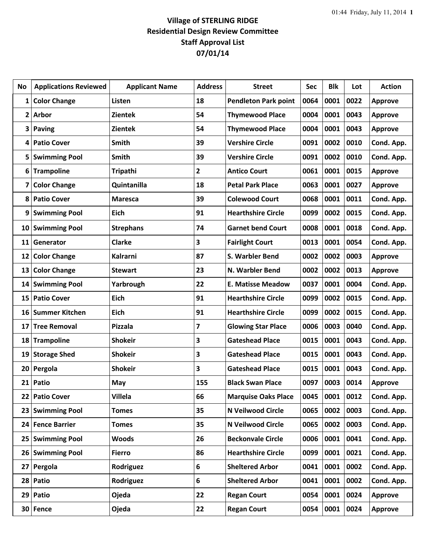## **Village of STERLING RIDGE Residential Design Review Committee Staff Approval List 07/01/14**

| No              | <b>Applications Reviewed</b> | <b>Applicant Name</b> | <b>Address</b> | <b>Street</b>               | Sec  | <b>Blk</b> | Lot  | <b>Action</b>  |
|-----------------|------------------------------|-----------------------|----------------|-----------------------------|------|------------|------|----------------|
| 1               | <b>Color Change</b>          | Listen                | 18             | <b>Pendleton Park point</b> | 0064 | 0001       | 0022 | <b>Approve</b> |
| $\overline{2}$  | <b>Arbor</b>                 | <b>Zientek</b>        | 54             | <b>Thymewood Place</b>      | 0004 | 0001       | 0043 | <b>Approve</b> |
| 3               | <b>Paving</b>                | <b>Zientek</b>        | 54             | <b>Thymewood Place</b>      | 0004 | 0001       | 0043 | <b>Approve</b> |
| 4               | <b>Patio Cover</b>           | <b>Smith</b>          | 39             | <b>Vershire Circle</b>      | 0091 | 0002       | 0010 | Cond. App.     |
| 5               | <b>Swimming Pool</b>         | <b>Smith</b>          | 39             | <b>Vershire Circle</b>      | 0091 | 0002       | 0010 | Cond. App.     |
| 6               | <b>Trampoline</b>            | Tripathi              | 2              | <b>Antico Court</b>         | 0061 | 0001       | 0015 | <b>Approve</b> |
| 7               | <b>Color Change</b>          | Quintanilla           | 18             | <b>Petal Park Place</b>     | 0063 | 0001       | 0027 | <b>Approve</b> |
| 8               | <b>Patio Cover</b>           | Maresca               | 39             | <b>Colewood Court</b>       | 0068 | 0001       | 0011 | Cond. App.     |
| 9               | <b>Swimming Pool</b>         | Eich                  | 91             | <b>Hearthshire Circle</b>   | 0099 | 0002       | 0015 | Cond. App.     |
| 10              | <b>Swimming Pool</b>         | <b>Strephans</b>      | 74             | <b>Garnet bend Court</b>    | 0008 | 0001       | 0018 | Cond. App.     |
| 11              | Generator                    | <b>Clarke</b>         | 3              | <b>Fairlight Court</b>      | 0013 | 0001       | 0054 | Cond. App.     |
| 12              | <b>Color Change</b>          | Kalrarni              | 87             | S. Warbler Bend             | 0002 | 0002       | 0003 | <b>Approve</b> |
| 13              | <b>Color Change</b>          | <b>Stewart</b>        | 23             | N. Warbler Bend             | 0002 | 0002       | 0013 | <b>Approve</b> |
| 14              | <b>Swimming Pool</b>         | Yarbrough             | 22             | <b>E. Matisse Meadow</b>    | 0037 | 0001       | 0004 | Cond. App.     |
| 15              | <b>Patio Cover</b>           | <b>Eich</b>           | 91             | <b>Hearthshire Circle</b>   | 0099 | 0002       | 0015 | Cond. App.     |
| 16              | <b>Summer Kitchen</b>        | Eich                  | 91             | <b>Hearthshire Circle</b>   | 0099 | 0002       | 0015 | Cond. App.     |
| 17              | <b>Tree Removal</b>          | <b>Pizzala</b>        | 7              | <b>Glowing Star Place</b>   | 0006 | 0003       | 0040 | Cond. App.     |
| 18              | <b>Trampoline</b>            | <b>Shokeir</b>        | 3              | <b>Gateshead Place</b>      | 0015 | 0001       | 0043 | Cond. App.     |
| 19              | <b>Storage Shed</b>          | <b>Shokeir</b>        | 3              | <b>Gateshead Place</b>      | 0015 | 0001       | 0043 | Cond. App.     |
| 20              | Pergola                      | <b>Shokeir</b>        | 3              | <b>Gateshead Place</b>      | 0015 | 0001       | 0043 | Cond. App.     |
| 21              | Patio                        | May                   | 155            | <b>Black Swan Place</b>     | 0097 | 0003       | 0014 | <b>Approve</b> |
| 22              | <b>Patio Cover</b>           | <b>Villela</b>        | 66             | <b>Marquise Oaks Place</b>  | 0045 | 0001       | 0012 | Cond. App.     |
| 23              | <b>Swimming Pool</b>         | <b>Tomes</b>          | 35             | N Veilwood Circle           | 0065 | 0002       | 0003 | Cond. App.     |
| 24              | <b>Fence Barrier</b>         | <b>Tomes</b>          | 35             | N Veilwood Circle           | 0065 | 0002       | 0003 | Cond. App.     |
| 25              | <b>Swimming Pool</b>         | <b>Woods</b>          | 26             | <b>Beckonvale Circle</b>    | 0006 | 0001       | 0041 | Cond. App.     |
| 26              | <b>Swimming Pool</b>         | <b>Fierro</b>         | 86             | <b>Hearthshire Circle</b>   | 0099 | 0001       | 0021 | Cond. App.     |
| 27              | Pergola                      | Rodriguez             | 6              | <b>Sheltered Arbor</b>      | 0041 | 0001       | 0002 | Cond. App.     |
| 28              | Patio                        | Rodriguez             | 6              | <b>Sheltered Arbor</b>      | 0041 | 0001       | 0002 | Cond. App.     |
| 29              | Patio                        | Ojeda                 | 22             | <b>Regan Court</b>          | 0054 | 0001       | 0024 | Approve        |
| 30 <sup>°</sup> | Fence                        | <b>Ojeda</b>          | 22             | <b>Regan Court</b>          | 0054 | 0001       | 0024 | <b>Approve</b> |